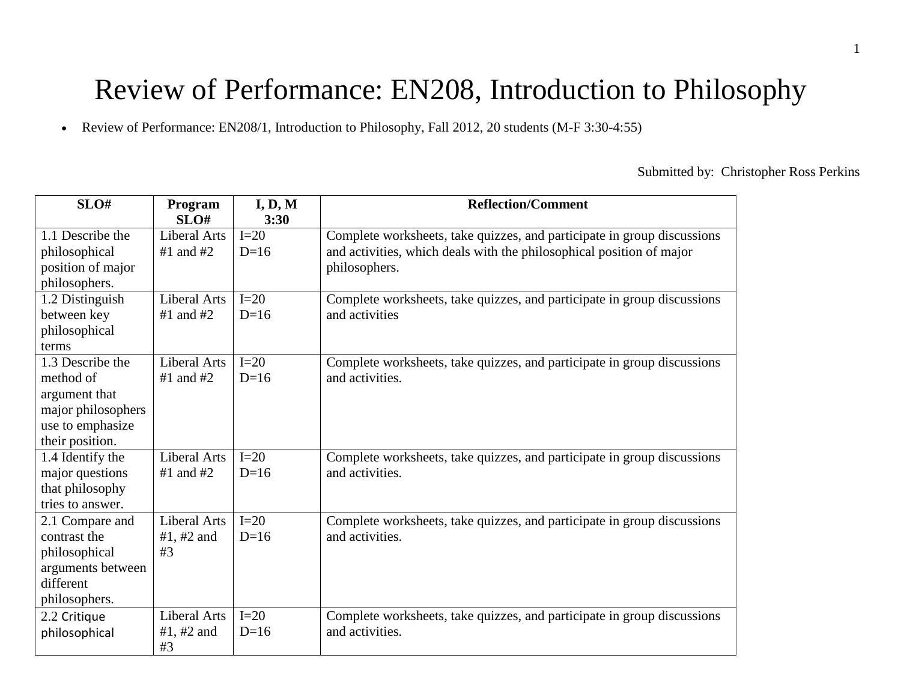# Review of Performance: EN208, Introduction to Philosophy

Review of Performance: EN208/1, Introduction to Philosophy, Fall 2012, 20 students (M-F 3:30-4:55)

Submitted by: Christopher Ross Perkins

| SLO#               | Program       | I, D, M | <b>Reflection/Comment</b>                                               |
|--------------------|---------------|---------|-------------------------------------------------------------------------|
|                    | SLO#          | 3:30    |                                                                         |
| 1.1 Describe the   | Liberal Arts  | $I=20$  | Complete worksheets, take quizzes, and participate in group discussions |
| philosophical      | $#1$ and $#2$ | $D=16$  | and activities, which deals with the philosophical position of major    |
| position of major  |               |         | philosophers.                                                           |
| philosophers.      |               |         |                                                                         |
| 1.2 Distinguish    | Liberal Arts  | $I=20$  | Complete worksheets, take quizzes, and participate in group discussions |
| between key        | $#1$ and $#2$ | $D=16$  | and activities                                                          |
| philosophical      |               |         |                                                                         |
| terms              |               |         |                                                                         |
| 1.3 Describe the   | Liberal Arts  | $I=20$  | Complete worksheets, take quizzes, and participate in group discussions |
| method of          | #1 and $#2$   | $D=16$  | and activities.                                                         |
| argument that      |               |         |                                                                         |
| major philosophers |               |         |                                                                         |
| use to emphasize   |               |         |                                                                         |
| their position.    |               |         |                                                                         |
| 1.4 Identify the   | Liberal Arts  | $I=20$  | Complete worksheets, take quizzes, and participate in group discussions |
| major questions    | #1 and $#2$   | $D=16$  | and activities.                                                         |
| that philosophy    |               |         |                                                                         |
| tries to answer.   |               |         |                                                                         |
| 2.1 Compare and    | Liberal Arts  | $I=20$  | Complete worksheets, take quizzes, and participate in group discussions |
| contrast the       | #1, #2 and    | $D=16$  | and activities.                                                         |
| philosophical      | #3            |         |                                                                         |
| arguments between  |               |         |                                                                         |
| different          |               |         |                                                                         |
| philosophers.      |               |         |                                                                         |
| 2.2 Critique       | Liberal Arts  | $I=20$  | Complete worksheets, take quizzes, and participate in group discussions |
| philosophical      | #1, #2 and    | $D=16$  | and activities.                                                         |
|                    | #3            |         |                                                                         |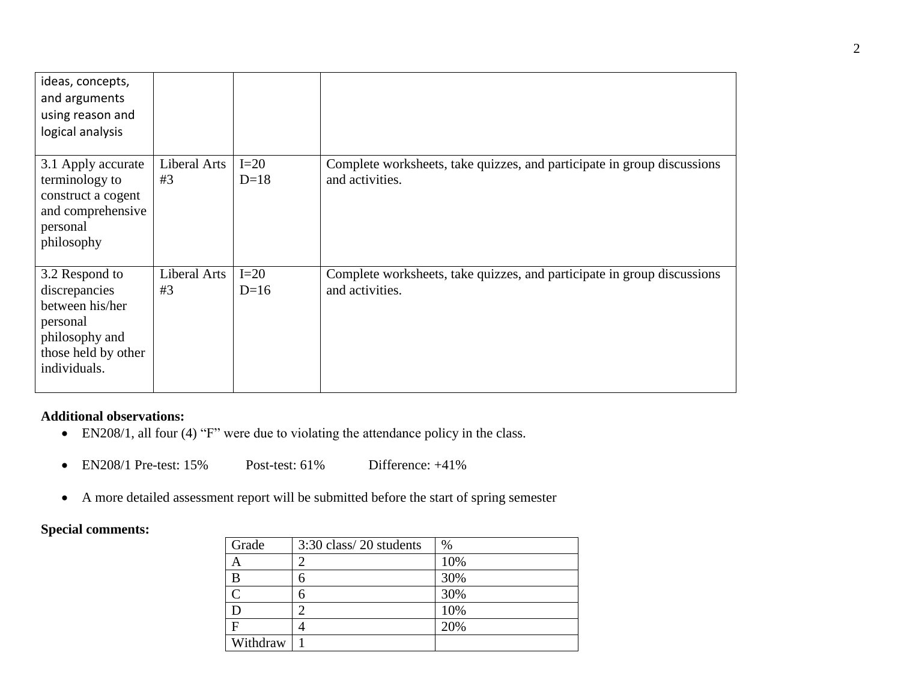| ideas, concepts,<br>and arguments<br>using reason and<br>logical analysis                                               |                    |                  |                                                                                            |
|-------------------------------------------------------------------------------------------------------------------------|--------------------|------------------|--------------------------------------------------------------------------------------------|
| 3.1 Apply accurate<br>terminology to<br>construct a cogent<br>and comprehensive<br>personal<br>philosophy               | Liberal Arts<br>#3 | $I=20$<br>$D=18$ | Complete worksheets, take quizzes, and participate in group discussions<br>and activities. |
| 3.2 Respond to<br>discrepancies<br>between his/her<br>personal<br>philosophy and<br>those held by other<br>individuals. | Liberal Arts<br>#3 | $I=20$<br>$D=16$ | Complete worksheets, take quizzes, and participate in group discussions<br>and activities. |

## **Additional observations:**

- EN208/1, all four (4) "F" were due to violating the attendance policy in the class.
- EN208/1 Pre-test: 15% Post-test: 61% Difference: +41%
- A more detailed assessment report will be submitted before the start of spring semester

## **Special comments:**

| Grade    | 3:30 class/20 students | $\%$ |
|----------|------------------------|------|
|          |                        | 10%  |
| B        | h                      | 30%  |
|          |                        | 30%  |
|          |                        | 10%  |
| F        |                        | 20%  |
| Withdraw |                        |      |